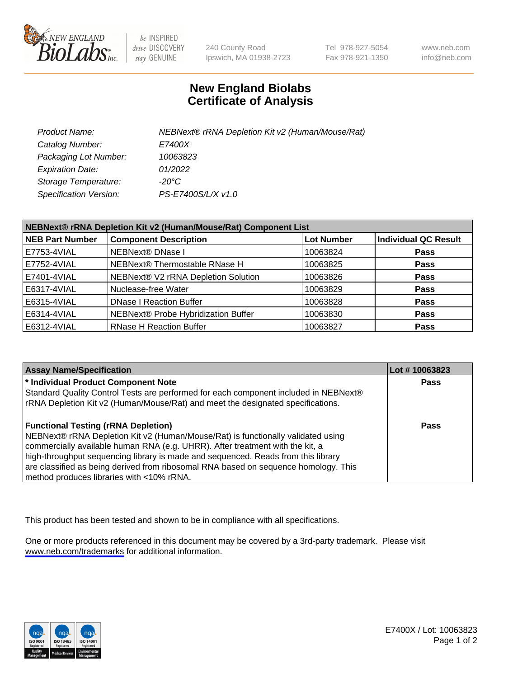

be INSPIRED drive DISCOVERY stay GENUINE

240 County Road Ipswich, MA 01938-2723 Tel 978-927-5054 Fax 978-921-1350

www.neb.com info@neb.com

## **New England Biolabs Certificate of Analysis**

| Product Name:           | NEBNext® rRNA Depletion Kit v2 (Human/Mouse/Rat) |
|-------------------------|--------------------------------------------------|
| Catalog Number:         | <i>E7400X</i>                                    |
| Packaging Lot Number:   | 10063823                                         |
| <b>Expiration Date:</b> | 01/2022                                          |
| Storage Temperature:    | -20°C                                            |
| Specification Version:  | PS-E7400S/L/X v1.0                               |

| NEBNext® rRNA Depletion Kit v2 (Human/Mouse/Rat) Component List |                                     |                   |                             |  |
|-----------------------------------------------------------------|-------------------------------------|-------------------|-----------------------------|--|
| <b>NEB Part Number</b>                                          | <b>Component Description</b>        | <b>Lot Number</b> | <b>Individual QC Result</b> |  |
| E7753-4VIAL                                                     | NEBNext® DNase I                    | 10063824          | <b>Pass</b>                 |  |
| E7752-4VIAL                                                     | NEBNext® Thermostable RNase H       | 10063825          | <b>Pass</b>                 |  |
| E7401-4VIAL                                                     | NEBNext® V2 rRNA Depletion Solution | 10063826          | <b>Pass</b>                 |  |
| E6317-4VIAL                                                     | Nuclease-free Water                 | 10063829          | <b>Pass</b>                 |  |
| E6315-4VIAL                                                     | <b>DNase I Reaction Buffer</b>      | 10063828          | <b>Pass</b>                 |  |
| E6314-4VIAL                                                     | NEBNext® Probe Hybridization Buffer | 10063830          | <b>Pass</b>                 |  |
| E6312-4VIAL                                                     | <b>RNase H Reaction Buffer</b>      | 10063827          | <b>Pass</b>                 |  |

| <b>Assay Name/Specification</b>                                                      | Lot #10063823 |
|--------------------------------------------------------------------------------------|---------------|
| * Individual Product Component Note                                                  | <b>Pass</b>   |
| Standard Quality Control Tests are performed for each component included in NEBNext® |               |
| rRNA Depletion Kit v2 (Human/Mouse/Rat) and meet the designated specifications.      |               |
| <b>Functional Testing (rRNA Depletion)</b>                                           | <b>Pass</b>   |
| NEBNext® rRNA Depletion Kit v2 (Human/Mouse/Rat) is functionally validated using     |               |
| commercially available human RNA (e.g. UHRR). After treatment with the kit, a        |               |
| high-throughput sequencing library is made and sequenced. Reads from this library    |               |
| are classified as being derived from ribosomal RNA based on sequence homology. This  |               |
| method produces libraries with <10% rRNA.                                            |               |

This product has been tested and shown to be in compliance with all specifications.

One or more products referenced in this document may be covered by a 3rd-party trademark. Please visit <www.neb.com/trademarks>for additional information.